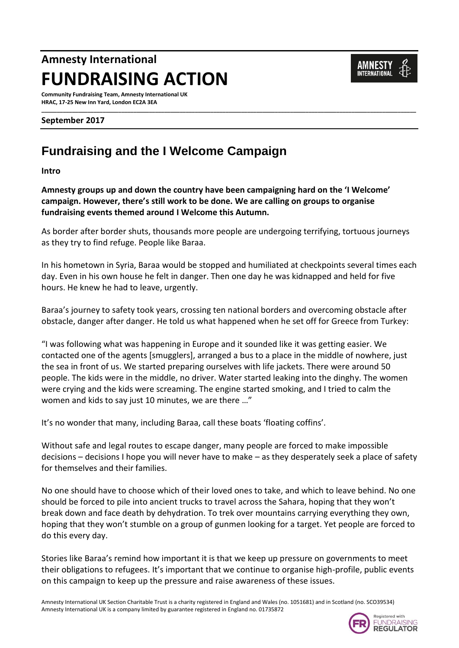# **Amnesty International FUNDRAISING ACTION**

**Community Fundraising Team, Amnesty International UK HRAC, 17-25 New Inn Yard, London EC2A 3EA**

#### **September 2017**

## **Fundraising and the I Welcome Campaign**

**Intro**

**Amnesty groups up and down the country have been campaigning hard on the 'I Welcome' campaign. However, there's still work to be done. We are calling on groups to organise fundraising events themed around I Welcome this Autumn.**

As border after border shuts, thousands more people are undergoing terrifying, tortuous journeys as they try to find refuge. People like Baraa.

**\_\_\_\_\_\_\_\_\_\_\_\_\_\_\_\_\_\_\_\_\_\_\_\_\_\_\_\_\_\_\_\_\_\_\_\_\_\_\_\_\_\_\_\_\_\_\_\_\_\_\_\_\_\_\_\_\_\_\_\_\_\_\_\_\_\_\_\_\_\_\_\_\_\_\_\_\_\_\_\_\_\_\_\_\_\_\_\_\_\_\_\_\_\_\_\_\_\_\_\_\_\_\_\_\_\_\_\_\_\_\_\_\_\_\_\_\_\_\_\_\_\_** 

In his hometown in Syria, Baraa would be stopped and humiliated at checkpoints several times each day. Even in his own house he felt in danger. Then one day he was kidnapped and held for five hours. He knew he had to leave, urgently.

Baraa's journey to safety took years, crossing ten national borders and overcoming obstacle after obstacle, danger after danger. He told us what happened when he set off for Greece from Turkey:

"I was following what was happening in Europe and it sounded like it was getting easier. We contacted one of the agents [smugglers], arranged a bus to a place in the middle of nowhere, just the sea in front of us. We started preparing ourselves with life jackets. There were around 50 people. The kids were in the middle, no driver. Water started leaking into the dinghy. The women were crying and the kids were screaming. The engine started smoking, and I tried to calm the women and kids to say just 10 minutes, we are there …"

It's no wonder that many, including Baraa, call these boats 'floating coffins'.

Without safe and legal routes to escape danger, many people are forced to make impossible decisions – decisions I hope you will never have to make – as they desperately seek a place of safety for themselves and their families.

No one should have to choose which of their loved ones to take, and which to leave behind. No one should be forced to pile into ancient trucks to travel across the Sahara, hoping that they won't break down and face death by dehydration. To trek over mountains carrying everything they own, hoping that they won't stumble on a group of gunmen looking for a target. Yet people are forced to do this every day.

Stories like Baraa's remind how important it is that we keep up pressure on governments to meet their obligations to refugees. It's important that we continue to organise high-profile, public events on this campaign to keep up the pressure and raise awareness of these issues.



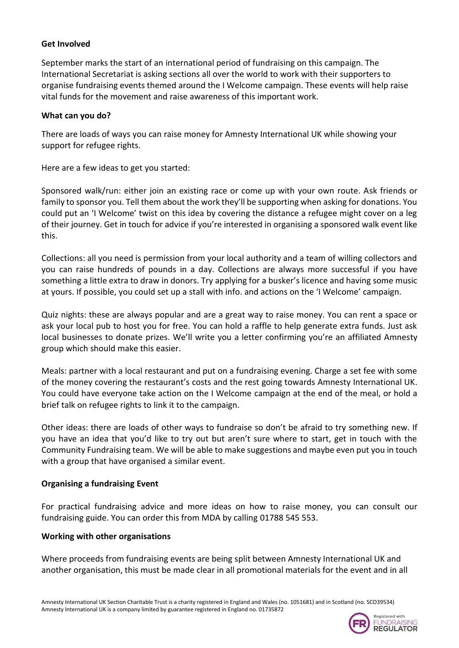#### **Get Involved**

September marks the start of an international period of fundraising on this campaign. The International Secretariat is asking sections all over the world to work with their supporters to organise fundraising events themed around the I Welcome campaign. These events will help raise vital funds for the movement and raise awareness of this important work.

#### **What can you do?**

There are loads of ways you can raise money for Amnesty International UK while showing your support for refugee rights.

Here are a few ideas to get you started:

Sponsored walk/run: either join an existing race or come up with your own route. Ask friends or family to sponsor you. Tell them about the work they'll be supporting when asking for donations. You could put an 'I Welcome' twist on this idea by covering the distance a refugee might cover on a leg of their journey. Get in touch for advice if you're interested in organising a sponsored walk event like this.

Collections: all you need is permission from your local authority and a team of willing collectors and you can raise hundreds of pounds in a day. Collections are always more successful if you have something a little extra to draw in donors. Try applying for a busker's licence and having some music at yours. If possible, you could set up a stall with info. and actions on the 'I Welcome' campaign.

Quiz nights: these are always popular and are a great way to raise money. You can rent a space or ask your local pub to host you for free. You can hold a raffle to help generate extra funds. Just ask local businesses to donate prizes. We'll write you a letter confirming you're an affiliated Amnesty group which should make this easier.

Meals: partner with a local restaurant and put on a fundraising evening. Charge a set fee with some of the money covering the restaurant's costs and the rest going towards Amnesty International UK. You could have everyone take action on the I Welcome campaign at the end of the meal, or hold a brief talk on refugee rights to link it to the campaign.

Other ideas: there are loads of other ways to fundraise so don't be afraid to try something new. If you have an idea that you'd like to try out but aren't sure where to start, get in touch with the Community Fundraising team. We will be able to make suggestions and maybe even put you in touch with a group that have organised a similar event.

### **Organising a fundraising Event**

For practical fundraising advice and more ideas on how to raise money, you can consult our fundraising guide. You can order this from MDA by calling 01788 545 553.

#### **Working with other organisations**

Where proceeds from fundraising events are being split between Amnesty International UK and another organisation, this must be made clear in all promotional materials for the event and in all